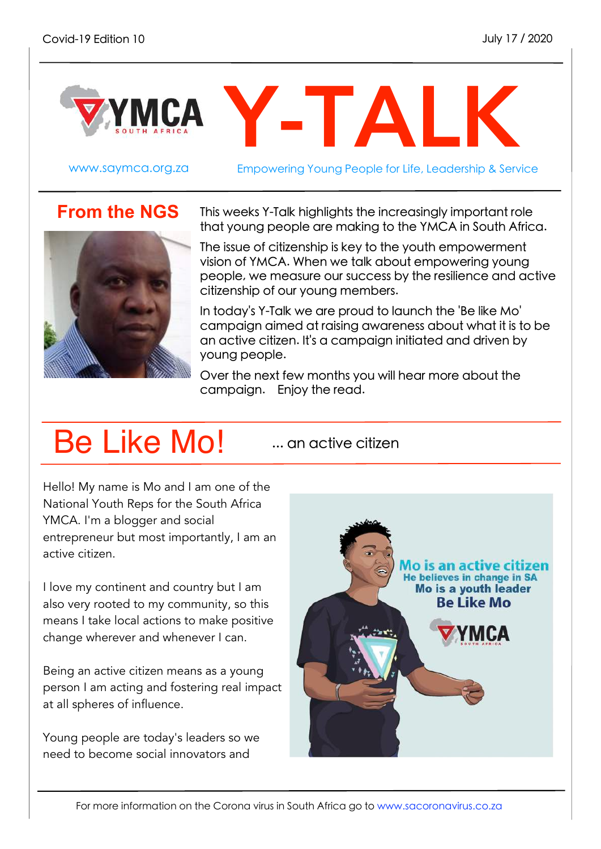

www.saymca.org.za Empowering Young People for Life, Leadership & Service

## **From the NGS**



This weeks Y-Talk highlights the increasingly important role that young people are making to the YMCA in South Africa.

The issue of citizenship is key to the youth empowerment vision of YMCA. When we talk about empowering young people, we measure our success by the resilience and active citizenship of our young members.

In today's Y-Talk we are proud to launch the 'Be like Mo' campaign aimed at raising awareness about what it is to be an active citizen. It's a campaign initiated and driven by young people.

Over the next few months you will hear more about the campaign. Enjoy the read.

## Be Like Mo!

... an active citizen

Hello! My name is Mo and I am one of the National Youth Reps for the South Africa YMCA. I'm a blogger and social entrepreneur but most importantly, I am an active citizen.

I love my continent and country but I am also very rooted to my community, so this means I take local actions to make positive change wherever and whenever I can.

Being an active citizen means as a young person I am acting and fostering real impact at all spheres of influence.

Young people are today's leaders so we need to become social innovators and

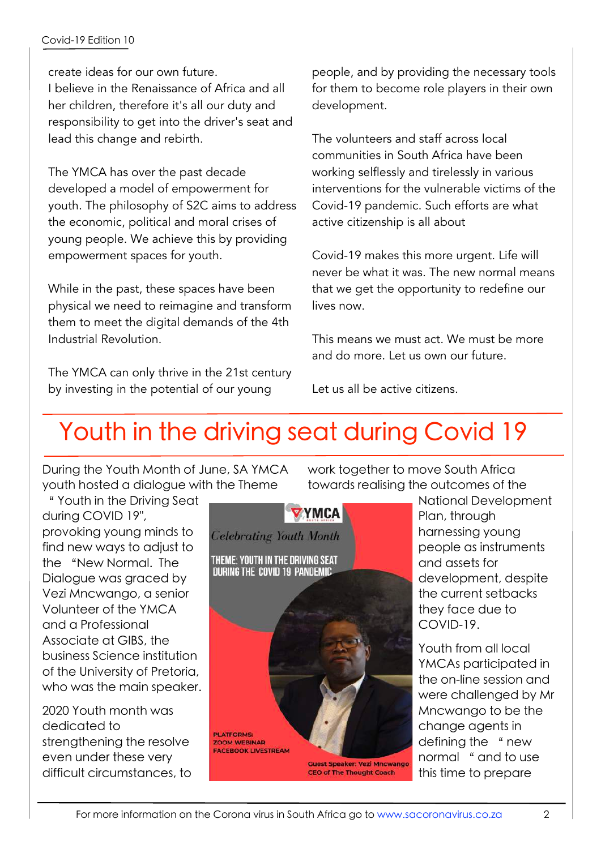create ideas for our own future. I believe in the Renaissance of Africa and all her children, therefore it's all our duty and responsibility to get into the driver's seat and lead this change and rebirth.

The YMCA has over the past decade developed a model of empowerment for youth. The philosophy of S2C aims to address the economic, political and moral crises of young people. We achieve this by providing empowerment spaces for youth.

While in the past, these spaces have been physical we need to reimagine and transform them to meet the digital demands of the 4th Industrial Revolution.

The YMCA can only thrive in the 21st century by investing in the potential of our young

people, and by providing the necessary tools for them to become role players in their own development.

The volunteers and staff across local communities in South Africa have been working selflessly and tirelessly in various interventions for the vulnerable victims of the Covid-19 pandemic. Such efforts are what active citizenship is all about

Covid-19 makes this more urgent. Life will never be what it was. The new normal means that we get the opportunity to redefine our lives now.

This means we must act. We must be more and do more. Let us own our future.

Let us all be active citizens.

## Youth in the driving seat during Covid 19

During the Youth Month of June, SA YMCA youth hosted a dialogue with the Theme

" Youth in the Driving Seat during COVID 19", provoking young minds to find new ways to adjust to the "New Normal. The Dialogue was graced by Vezi Mncwango, a senior Volunteer of the YMCA and a Professional Associate at GIBS, the business Science institution of the University of Pretoria, who was the main speaker.

2020 Youth month was dedicated to strengthening the resolve even under these very difficult circumstances, to



work together to move South Africa towards realising the outcomes of the

> National Development Plan, through harnessing young people as instruments and assets for development, despite the current setbacks they face due to COVID-19.

Youth from all local YMCAs participated in the on-line session and were challenged by Mr Mncwango to be the change agents in defining the "new normal " and to use this time to prepare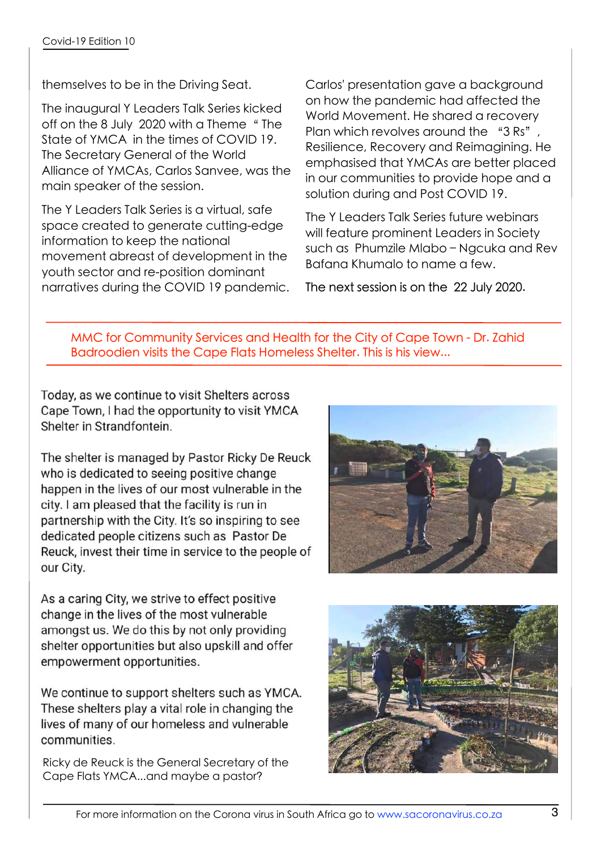themselves to be in the Driving Seat.

The inaugural Y Leaders Talk Series kicked off on the 8 July 2020 with a Theme " The State of YMCA in the times of COVID 19. The Secretary General of the World Alliance of YMCAs, Carlos Sanvee, was the main speaker of the session.

The Y Leaders Talk Series is a virtual, safe space created to generate cutting-edge information to keep the national movement abreast of development in the youth sector and re-position dominant narratives during the COVID 19 pandemic. Carlos' presentation gave a background on how the pandemic had affected the World Movement. He shared a recovery Plan which revolves around the "3 Rs" Resilience, Recovery and Reimagining. He emphasised that YMCAs are better placed in our communities to provide hope and a solution during and Post COVID 19.

The Y Leaders Talk Series future webinars will feature prominent Leaders in Society such as Phumzile Mlabo – Ngcuka and Rev Bafana Khumalo to name a few.

The next session is on the 22 July 2020.

MMC for Community Services and Health for the City of Cape Town - Dr. Zahid Badroodien visits the Cape Flats Homeless Shelter. This is his view...

Today, as we continue to visit Shelters across Cape Town, I had the opportunity to visit YMCA Shelter in Strandfontein.

The shelter is managed by Pastor Ricky De Reuck who is dedicated to seeing positive change happen in the lives of our most vulnerable in the city. I am pleased that the facility is run in partnership with the City. It's so inspiring to see dedicated people citizens such as Pastor De Reuck, invest their time in service to the people of our City.



As a caring City, we strive to effect positive change in the lives of the most vulnerable amongst us. We do this by not only providing shelter opportunities but also upskill and offer empowerment opportunities.

We continue to support shelters such as YMCA. These shelters play a vital role in changing the lives of many of our homeless and vulnerable communities.

Ricky de Reuck is the General Secretary of the Cape Flats YMCA...and maybe a pastor?